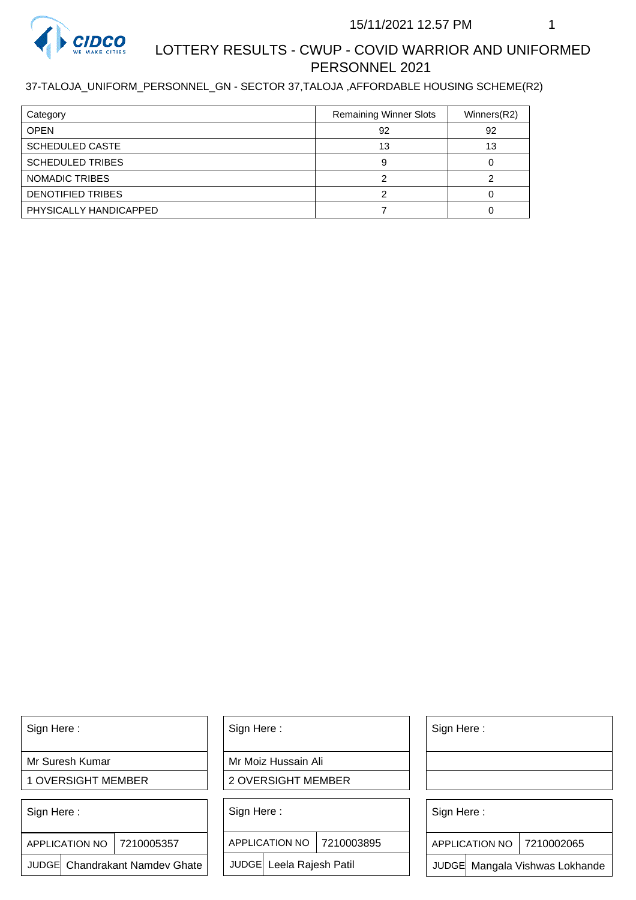

# LOTTERY RESULTS - CWUP - COVID WARRIOR AND UNIFORMED PERSONNEL 2021

#### 37-TALOJA\_UNIFORM\_PERSONNEL\_GN - SECTOR 37,TALOJA ,AFFORDABLE HOUSING SCHEME(R2)

| Category                 | <b>Remaining Winner Slots</b> | Winners(R2) |
|--------------------------|-------------------------------|-------------|
| <b>OPEN</b>              | 92                            | 92          |
| <b>SCHEDULED CASTE</b>   | 13                            | 13          |
| <b>SCHEDULED TRIBES</b>  |                               |             |
| NOMADIC TRIBES           |                               |             |
| <b>DENOTIFIED TRIBES</b> |                               |             |
| PHYSICALLY HANDICAPPED   |                               |             |

Sign Here :

Mr Suresh Kumar

1 OVERSIGHT MEMBER

Sign Here :

7210005357 APPLICATION NO

JUDGE Chandrakant Namdev Ghate

Sign Here :

Mr Moiz Hussain Ali

2 OVERSIGHT MEMBER

Sign Here :

APPLICATION NO 7210003895

JUDGE Leela Rajesh Patil

Sign Here :

Sign Here :

APPLICATION NO | 7210002065

Chandrakant Namdev Ghate  $|\quad|$  JUDGE Leela Rajesh Patil  $|\quad|$  JUDGE Mangala Vishwas Lokhande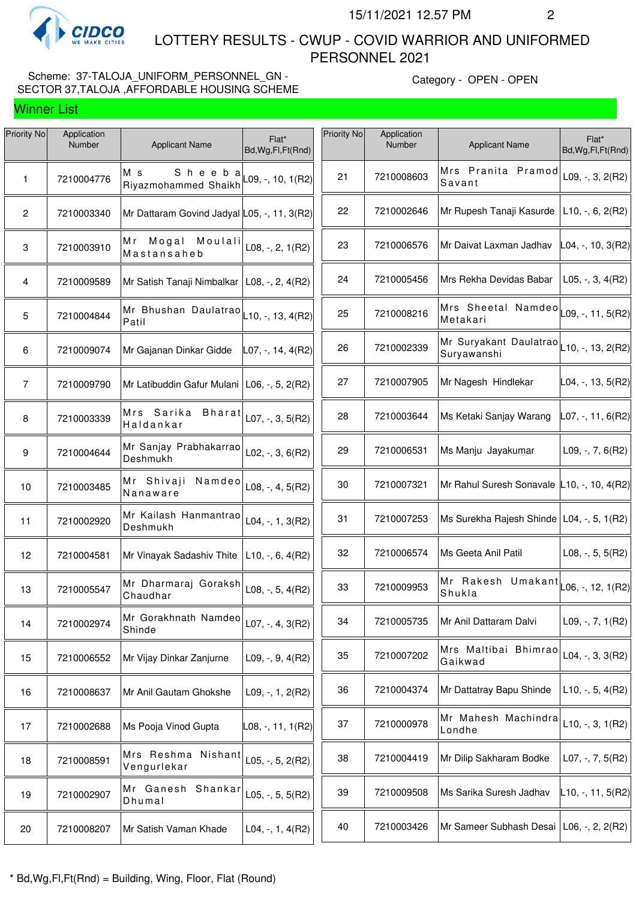

 LOTTERY RESULTS - CWUP - COVID WARRIOR AND UNIFORMED PERSONNEL 2021

## Scheme: 37-TALOJA\_UNIFORM\_PERSONNEL\_GN -SECTOR 37,TALOJA ,AFFORDABLE HOUSING SCHEME

Category - OPEN - OPEN

| Priority No    | Application<br>Number | <b>Applicant Name</b>                                   | Flat*<br>Bd, Wg, Fl, Ft(Rnd) | Priority No | Application<br>Number | <b>Applicant Name</b>                                                | Flat*<br>Bd, Wg, Fl, Ft (Rnd) |
|----------------|-----------------------|---------------------------------------------------------|------------------------------|-------------|-----------------------|----------------------------------------------------------------------|-------------------------------|
| $\mathbf{1}$   | 7210004776            | Sheeba<br>M s<br>Riyazmohammed Shaikh                   | $L09, -110, 1(R2)$           | 21          | 7210008603            | Mrs Pranita Pramod<br>Savant                                         | L09, $-$ , 3, 2(R2)           |
| $\mathbf{2}$   | 7210003340            | Mr Dattaram Govind Jadyal L05, -, 11, 3(R2)             |                              | 22          | 7210002646            | Mr Rupesh Tanaji Kasurde                                             | $L10, -, 6, 2(R2)$            |
| $\mathbf 3$    | 7210003910            | Moulali<br>Mr Mogal<br>Mastansaheb                      | L08, $-$ , 2, 1(R2)          | 23          | 7210006576            | Mr Daivat Laxman Jadhav                                              | $ L04, -, 10, 3(R2) $         |
| $\overline{4}$ | 7210009589            | Mr Satish Tanaji Nimbalkar   L08, -, 2, 4(R2)           |                              | 24          | 7210005456            | Mrs Rekha Devidas Babar                                              | $L05, -, 3, 4(R2)$            |
| 5              | 7210004844            | Mr Bhushan Daulatrao $\vert$ L10, -, 13, 4(R2)<br>Patil |                              | 25          | 7210008216            | Mrs Sheetal Namdeo $\vert$ <sub>L09, -</sub> , 11, 5(R2)<br>Metakari |                               |
| 6              | 7210009074            | Mr Gajanan Dinkar Gidde                                 | $ $ L07, -, 14, 4(R2)        | 26          | 7210002339            | Mr Suryakant Daulatrao L10, -, 13, 2(R2)<br>Suryawanshi              |                               |
| $\overline{7}$ | 7210009790            | Mr Latibuddin Gafur Mulani   L06, -, 5, 2(R2)           |                              | 27          | 7210007905            | Mr Nagesh Hindlekar                                                  | $L04, -13, 5(R2)$             |
| $\bf 8$        | 7210003339            | Mrs Sarika<br>Bharat<br>Haldankar                       | L07, $-$ , 3, 5(R2)          | 28          | 7210003644            | Ms Ketaki Sanjay Warang                                              | $L07, -11, 6(R2)$             |
| 9              | 7210004644            | Mr Sanjay Prabhakarrao<br>Deshmukh                      | L02, $-$ , 3, 6(R2)          | 29          | 7210006531            | Ms Manju Jayakumar                                                   | $L09, -7, 6(R2)$              |
| 10             | 7210003485            | Mr Shivaji<br>Namdeo<br>Nanaware                        | $L08, -, 4, 5(R2)$           | 30          | 7210007321            | Mr Rahul Suresh Sonavale L10, -, 10, 4(R2)                           |                               |
| 11             | 7210002920            | Mr Kailash Hanmantrao<br>Deshmukh                       | $L04, -, 1, 3(R2)$           | 31          | 7210007253            | Ms Surekha Rajesh Shinde   L04, -, 5, 1(R2)                          |                               |
| 12             | 7210004581            | Mr Vinayak Sadashiv Thite                               | $L10, -, 6, 4(R2)$           | 32          | 7210006574            | Ms Geeta Anil Patil                                                  | L08, $-$ , 5, 5(R2)           |
| 13             | 7210005547            | Mr Dharmaraj Goraksh<br>Chaudhar                        | L08, $-$ , 5, 4(R2)          | 33          | 7210009953            | Mr Rakesh Umakant $\vert$ $L$ 06, -, 12, 1(R2)<br>Shukla             |                               |
| 14             | 7210002974            | Mr Gorakhnath Namdeo<br>Shinde                          | $L07, -, 4, 3(R2)$           | 34          | 7210005735            | Mr Anil Dattaram Dalvi                                               | L09, $-$ , $7$ , $1(R2)$      |
| 15             | 7210006552            | Mr Vijay Dinkar Zanjurne                                | L09, $-$ , 9, 4(R2)          | 35          | 7210007202            | Mrs Maltibai Bhimrao<br>Gaikwad                                      | L04, $-$ , 3, 3(R2)           |
| 16             | 7210008637            | Mr Anil Gautam Ghokshe                                  | $L09, -1, 2(R2)$             | 36          | 7210004374            | Mr Dattatray Bapu Shinde                                             | $L10, -5, 4(R2)$              |
| 17             | 7210002688            | Ms Pooja Vinod Gupta                                    | L08, -, 11, 1(R2)            | 37          | 7210000978            | Mr Mahesh Machindra<br>Londhe                                        | $L10, -, 3, 1(R2)$            |
| 18             | 7210008591            | Mrs Reshma Nishant<br>Vengurlekar                       | L05, $-$ , 5, 2(R2)          | 38          | 7210004419            | Mr Dilip Sakharam Bodke                                              | L07, $-$ , 7, 5(R2)           |
| 19             | 7210002907            | Mr Ganesh Shankar<br>Dhumal                             | L05, $-$ , 5, 5(R2)          | 39          | 7210009508            | Ms Sarika Suresh Jadhav                                              | $L$ 10, -, 11, 5(R2)          |
| 20             | 7210008207            | Mr Satish Vaman Khade                                   | $L04, -, 1, 4(R2)$           | 40          | 7210003426            | Mr Sameer Subhash Desai                                              | L06, -, 2, 2(R2)              |
|                |                       |                                                         |                              |             |                       |                                                                      |                               |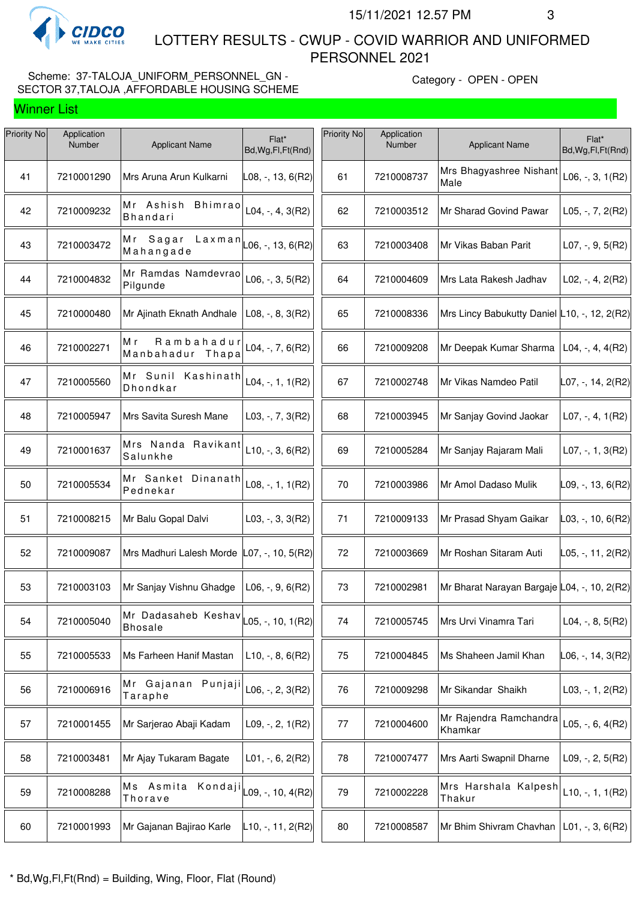

 LOTTERY RESULTS - CWUP - COVID WARRIOR AND UNIFORMED PERSONNEL 2021

## Scheme: 37-TALOJA\_UNIFORM\_PERSONNEL\_GN -SECTOR 37,TALOJA ,AFFORDABLE HOUSING SCHEME

Category - OPEN - OPEN

| Priority No | Application<br>Number | <b>Applicant Name</b>                          | Flat*<br>Bd, Wg, Fl, Ft (Rnd)       | Priority No | Application<br>Number | <b>Applicant Name</b>                        | Flat*<br>Bd, Wg, Fl, Ft (Rnd) |
|-------------|-----------------------|------------------------------------------------|-------------------------------------|-------------|-----------------------|----------------------------------------------|-------------------------------|
| 41          | 7210001290            | Mrs Aruna Arun Kulkarni                        | L08, -, 13, 6(R2)                   | 61          | 7210008737            | Mrs Bhagyashree Nishant<br>Male              | $L06, -, 3, 1(R2)$            |
| 42          | 7210009232            | Mr Ashish<br><b>Bhimrao</b><br><b>Bhandari</b> | $L04, -, 4, 3(R2)$                  | 62          | 7210003512            | Mr Sharad Govind Pawar                       | L05, $-$ , 7, 2(R2)           |
| 43          | 7210003472            | Mr Sagar<br>Laxman<br>Mahangade                | $-06, -13, 6(R2)$                   | 63          | 7210003408            | Mr Vikas Baban Parit                         | L07, $-$ , $9$ , $5(R2)$      |
| 44          | 7210004832            | Mr Ramdas Namdevrao<br>Pilgunde                | $L06, -, 3, 5(R2)$                  | 64          | 7210004609            | Mrs Lata Rakesh Jadhav                       | $L02, -, 4, 2(R2)$            |
| 45          | 7210000480            | Mr Ajinath Eknath Andhale                      | $L08, -, 8, 3(R2)$                  | 65          | 7210008336            | Mrs Lincy Babukutty Daniel L10, -, 12, 2(R2) |                               |
| 46          | 7210002271            | Rambahadur<br>Мr<br>Manbahadur Thapa           | L04, $-$ , $7, 6(R2)$               | 66          | 7210009208            | Mr Deepak Kumar Sharma                       | $ L04, -, 4, 4(R2) $          |
| 47          | 7210005560            | Mr Sunil Kashinath<br>Dhondkar                 | $L04, -, 1, 1(R2)$                  | 67          | 7210002748            | Mr Vikas Namdeo Patil                        | L07, -, 14, 2(R2)             |
| 48          | 7210005947            | Mrs Savita Suresh Mane                         | $L03, -7, 3(R2)$                    | 68          | 7210003945            | Mr Sanjay Govind Jaokar                      | $L07, -, 4, 1(R2)$            |
| 49          | 7210001637            | Mrs Nanda Ravikant<br>Salunkhe                 | $L10, -, 3, 6(R2)$                  | 69          | 7210005284            | Mr Sanjay Rajaram Mali                       | $L07, -1, 3(R2)$              |
| 50          | 7210005534            | Mr Sanket Dinanath<br>Pednekar                 | $L08, -, 1, 1(R2)$                  | 70          | 7210003986            | Mr Amol Dadaso Mulik                         | $\vert$ L09, -, 13, 6(R2)     |
| 51          | 7210008215            | Mr Balu Gopal Dalvi                            | $L03, -3, 3(R2)$                    | 71          | 7210009133            | Mr Prasad Shyam Gaikar                       | L03, -, 10, 6(R2)             |
| 52          | 7210009087            | Mrs Madhuri Lalesh Morde                       | $ $ L07, -, 10, 5(R2)               | 72          | 7210003669            | Mr Roshan Sitaram Auti                       | L05, -, 11, 2(R2)             |
| 53          | 7210003103            | Mr Sanjay Vishnu Ghadge                        | $L06, -, 9, 6(R2)$                  | 73          | 7210002981            | Mr Bharat Narayan Bargaje L04, -, 10, 2(R2)  |                               |
| 54          | 7210005040            | Mr Dadasaheb Keshav<br><b>Bhosale</b>          | $ $ L05, -, 10, 1(R2) $ $           | 74          | 7210005745            | Mrs Urvi Vinamra Tari                        | L04, $-$ , 8, 5(R2)           |
| 55          | 7210005533            | Ms Farheen Hanif Mastan                        | $L10, -, 8, 6(R2)$                  | 75          | 7210004845            | Ms Shaheen Jamil Khan                        | L06, -, 14, 3(R2)             |
| 56          | 7210006916            | Mr Gajanan Punjaji<br>Taraphe                  | L06, $-$ , 2, 3(R2)                 | 76          | 7210009298            | Mr Sikandar Shaikh                           | L03, $-$ , 1, 2(R2)           |
| 57          | 7210001455            | Mr Sarjerao Abaji Kadam                        | $L09, -2, 1(R2)$                    | 77          | 7210004600            | Mr Rajendra Ramchandra<br>Khamkar            | L05, $-$ , 6, 4(R2)           |
| 58          | 7210003481            | Mr Ajay Tukaram Bagate                         | $L01, -, 6, 2(R2)$                  | 78          | 7210007477            | Mrs Aarti Swapnil Dharne                     | L09, $-$ , 2, $5(R2)$         |
| 59          | 7210008288            | Ms Asmita<br>Kondaji<br>Thorave                | $\textsf{L09}, -10, 4(\textsf{R2})$ | 79          | 7210002228            | Mrs Harshala Kalpesh<br>Thakur               | $L10, -, 1, 1(R2)$            |
| 60          | 7210001993            | Mr Gajanan Bajirao Karle                       | L10, -, 11, 2(R2)                   | 80          | 7210008587            | Mr Bhim Shivram Chavhan                      | L01, -, 3, 6(R2)              |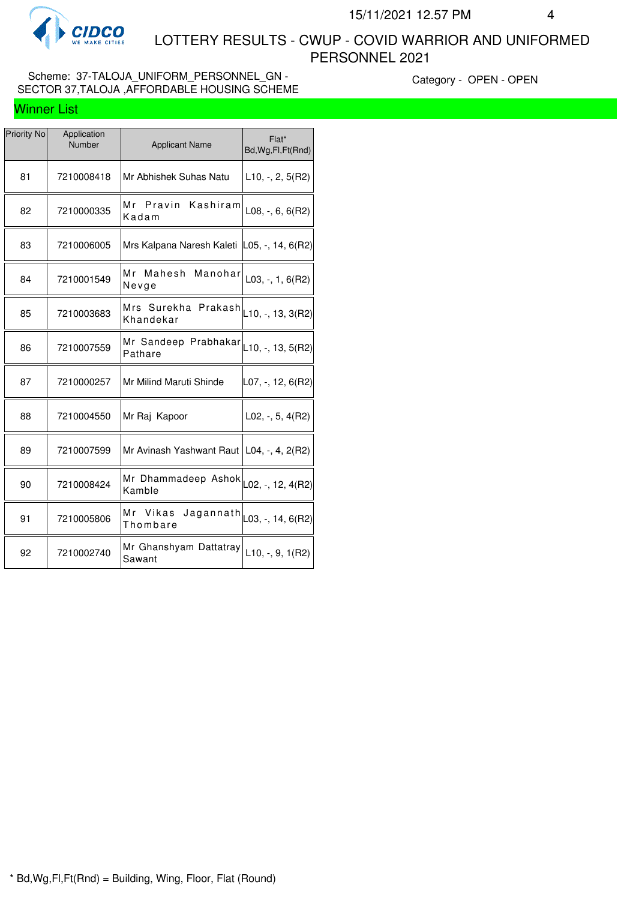

 LOTTERY RESULTS - CWUP - COVID WARRIOR AND UNIFORMED PERSONNEL 2021

### Scheme: 37-TALOJA\_UNIFORM\_PERSONNEL\_GN -SECTOR 37,TALOJA ,AFFORDABLE HOUSING SCHEME

Category - OPEN - OPEN

| <b>Priority No</b> | Application<br>Number | <b>Applicant Name</b>                                              | Flat*<br>Bd, Wg, Fl, Ft (Rnd)         |
|--------------------|-----------------------|--------------------------------------------------------------------|---------------------------------------|
| 81                 | 7210008418            | Mr Abhishek Suhas Natu                                             | L10, -, 2, 5(R2)                      |
| 82                 | 7210000335            | Mr Pravin<br>Kashiram<br>Kadam                                     | $L08, -, 6, 6(R2)$                    |
| 83                 | 7210006005            | Mrs Kalpana Naresh Kaleti L05, -, 14, 6(R2)                        |                                       |
| 84                 | 7210001549            | Mr Mahesh<br>Manohar<br>Nevge                                      | $L03, -1, 6(R2)$                      |
| 85                 | 7210003683            | Mrs Surekha Prakash<br>Khandekar                                   | $ L10, -, 13, 3(R2) $                 |
| 86                 | 7210007559            | Mr Sandeep Prabhakar $\vert_{\text{L10, -, 13, 5(R2)}}$<br>Pathare |                                       |
| 87                 | 7210000257            | Mr Milind Maruti Shinde                                            | L07, -, 12, 6(R2)                     |
| 88                 | 7210004550            | Mr Raj Kapoor                                                      | $L02, -, 5, 4(R2)$                    |
| 89                 | 7210007599            | Mr Avinash Yashwant Raut   L04, -, 4, 2(R2)                        |                                       |
| 90                 | 7210008424            | Mr Dhammadeep Ashok<br>Kamble                                      | $\textsf{L}02, -, 12, 4(\textsf{R}2)$ |
| 91                 | 7210005806            | Mr Vikas<br>Jagannath<br>Thombare                                  | $L$ 03, -, 14, 6(R2)                  |
| 92                 | 7210002740            | Mr Ghanshyam Dattatray<br>Sawant                                   | $L10, -, 9, 1(R2)$                    |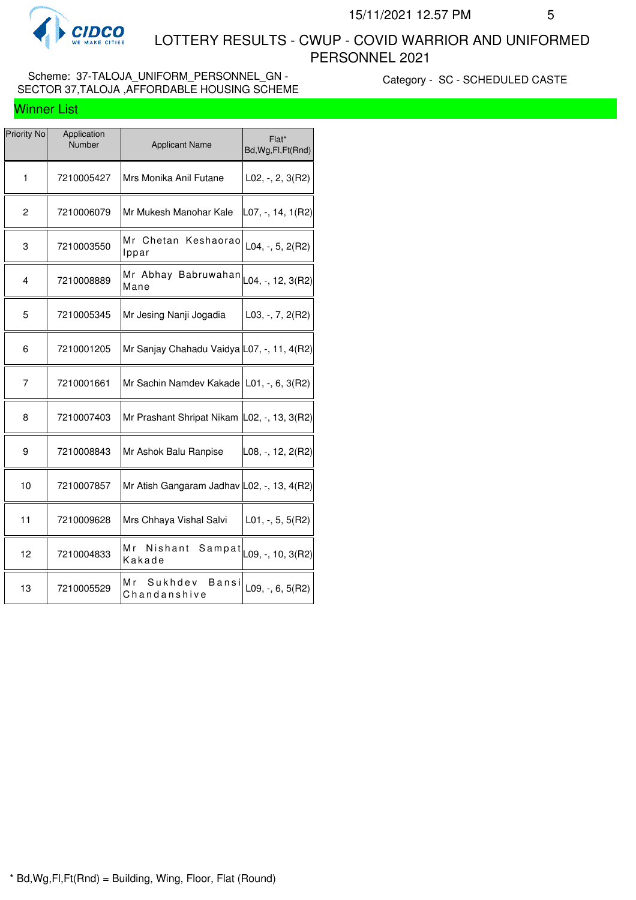

 LOTTERY RESULTS - CWUP - COVID WARRIOR AND UNIFORMED PERSONNEL 2021

### Scheme: 37-TALOJA\_UNIFORM\_PERSONNEL\_GN -SECTOR 37,TALOJA ,AFFORDABLE HOUSING SCHEME

Category - SC - SCHEDULED CASTE

| <b>Priority No</b> | Application<br>Number | <b>Applicant Name</b>                                                | Flat*<br>Bd, Wg, Fl, Ft (Rnd) |
|--------------------|-----------------------|----------------------------------------------------------------------|-------------------------------|
| 1                  | 7210005427            | Mrs Monika Anil Futane                                               | $L02, -2, 3(R2)$              |
| $\overline{c}$     | 7210006079            | Mr Mukesh Manohar Kale                                               | L07, -, 14, 1(R2)             |
| 3                  | 7210003550            | Mr Chetan Keshaorao<br>Ippar                                         | L04, -, 5, $2(R2)$            |
| 4                  | 7210008889            | Mr Abhay Babruwahan $\vert_{\text{L04},\text{-, 12, 3(R2)}}$<br>Mane |                               |
| 5                  | 7210005345            | Mr Jesing Nanji Jogadia                                              | $L03, -7, 2(R2)$              |
| 6                  | 7210001205            | Mr Sanjay Chahadu Vaidya L07, -, 11, 4(R2)                           |                               |
| 7                  | 7210001661            | Mr Sachin Namdev Kakade   L01, -, 6, 3(R2)                           |                               |
| 8                  | 7210007403            | Mr Prashant Shripat Nikam L02, -, 13, 3(R2)                          |                               |
| 9                  | 7210008843            | Mr Ashok Balu Ranpise                                                | L08, -, 12, 2(R2)             |
| 10                 | 7210007857            | Mr Atish Gangaram Jadhav L02, -, 13, 4(R2)                           |                               |
| 11                 | 7210009628            | Mrs Chhaya Vishal Salvi                                              | $L01, -, 5, 5(R2)$            |
| 12                 | 7210004833            | Mr<br>Nishant<br>Sampat<br>Kakade                                    | L09, -, 10, 3(R2)             |
| 13                 | 7210005529            | M r<br>Sukhdev<br>Bansi<br>Chandanshive                              | L09, -, 6, $5(R2)$            |